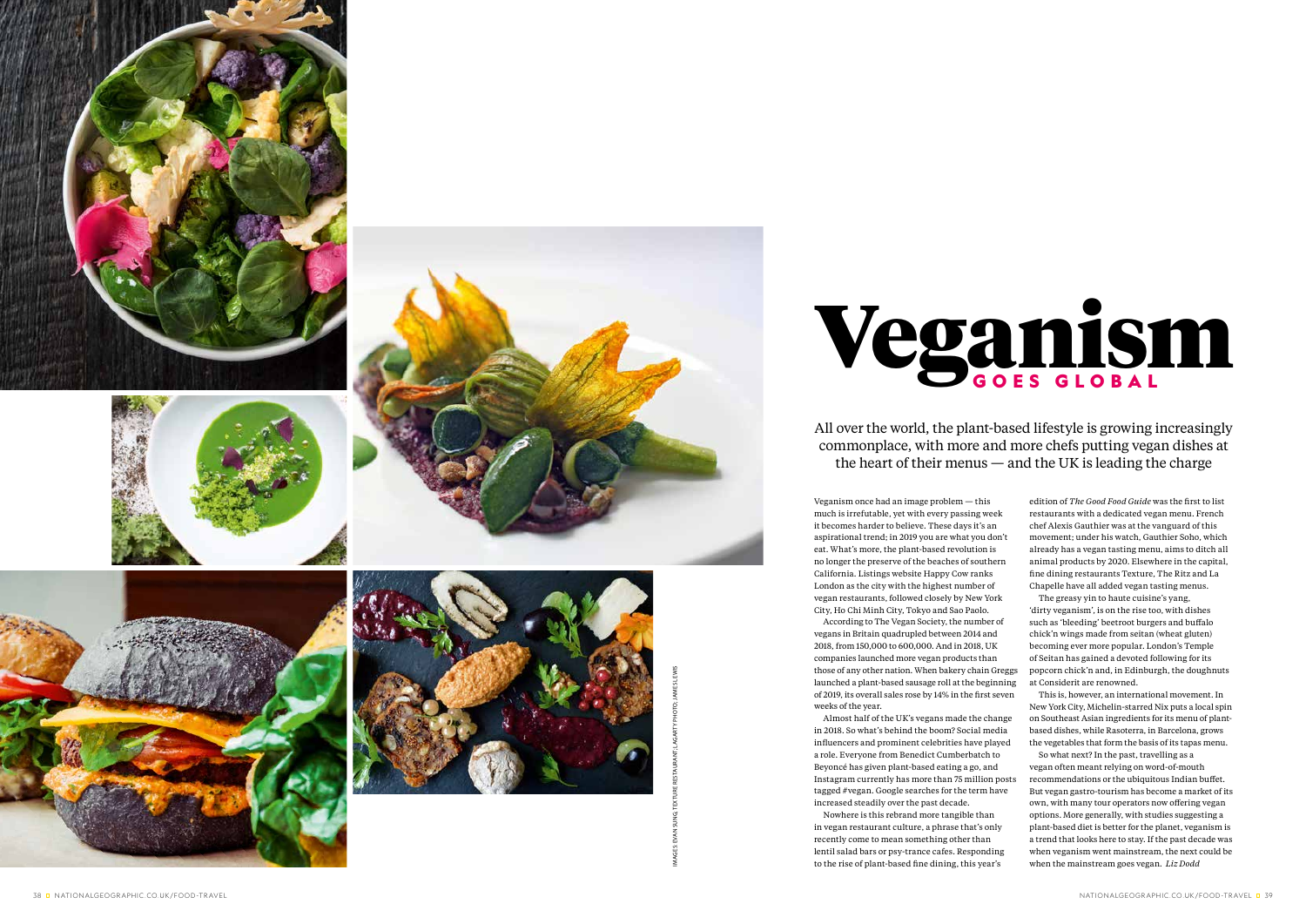Veganism once had an image problem — this much is irrefutable, yet with every passing week it becomes harder to believe. These days it's an aspirational trend; in 2019 you are what you don't eat. What's more, the plant-based revolution is no longer the preserve of the beaches of southern California. Listings website Happy Cow ranks London as the city with the highest number of vegan restaurants, followed closely by New York City, Ho Chi Minh City, Tokyo and Sao Paolo. According to The Vegan Society, the number of vegans in Britain quadrupled between 2014 and 2018, from 150,000 to 600,000. And in 2018, UK companies launched more vegan products than those of any other nation. When bakery chain Greggs

launched a plant-based sausage roll at the beginning of 2019, its overall sales rose by 14% in the first seven weeks of the year.

Almost half of the UK's vegans made the change in 2018. So what's behind the boom? Social media influencers and prominent celebrities have played a role. Everyone from Benedict Cumberbatch to Beyoncé has given plant-based eating a go, and Instagram currently has more than 75 million posts tagged #vegan. Google searches for the term have increased steadily over the past decade.

Nowhere is this rebrand more tangible than in vegan restaurant culture, a phrase that's only recently come to mean something other than lentil salad bars or psy-trance cafes. Responding to the rise of plant-based fine dining, this year's

edition of *The Good Food Guide* was the first to list restaurants with a dedicated vegan menu. French chef Alexis Gauthier was at the vanguard of this movement; under his watch, Gauthier Soho, which already has a vegan tasting menu, aims to ditch all animal products by 2020. Elsewhere in the capital, fine dining restaurants Texture, The Ritz and La Chapelle have all added vegan tasting menus. The greasy yin to haute cuisine's yang,

'dirty veganism', is on the rise too, with dishes such as 'bleeding' beetroot burgers and buffalo chick'n wings made from seitan (wheat gluten) becoming ever more popular. London's Temple of Seitan has gained a devoted following for its popcorn chick'n and, in Edinburgh, the doughnuts at Considerit are renowned.

This is, however, an international movement. In New York City, Michelin-starred Nix puts a local spin on Southeast Asian ingredients for its menu of plantbased dishes, while Rasoterra, in Barcelona, grows the vegetables that form the basis of its tapas menu.

So what next? In the past, travelling as a vegan often meant relying on word-of-mouth recommendations or the ubiquitous Indian buffet. But vegan gastro-tourism has become a market of its own, with many tour operators now offering vegan options. More generally, with studies suggesting a plant-based diet is better for the planet, veganism is a trend that looks here to stay. If the past decade was when veganism went mainstream, the next could be when the mainstream goes vegan. *Liz Dodd*

### All over the world, the plant-based lifestyle is growing increasingly commonplace, with more and more chefs putting vegan dishes at the heart of their menus — and the UK is leading the charge









IMAGES: EVAN SUNG; TEXTURE RESTAURANT; LAGARTY PHOTO; JAMES LEWIS

# Veganism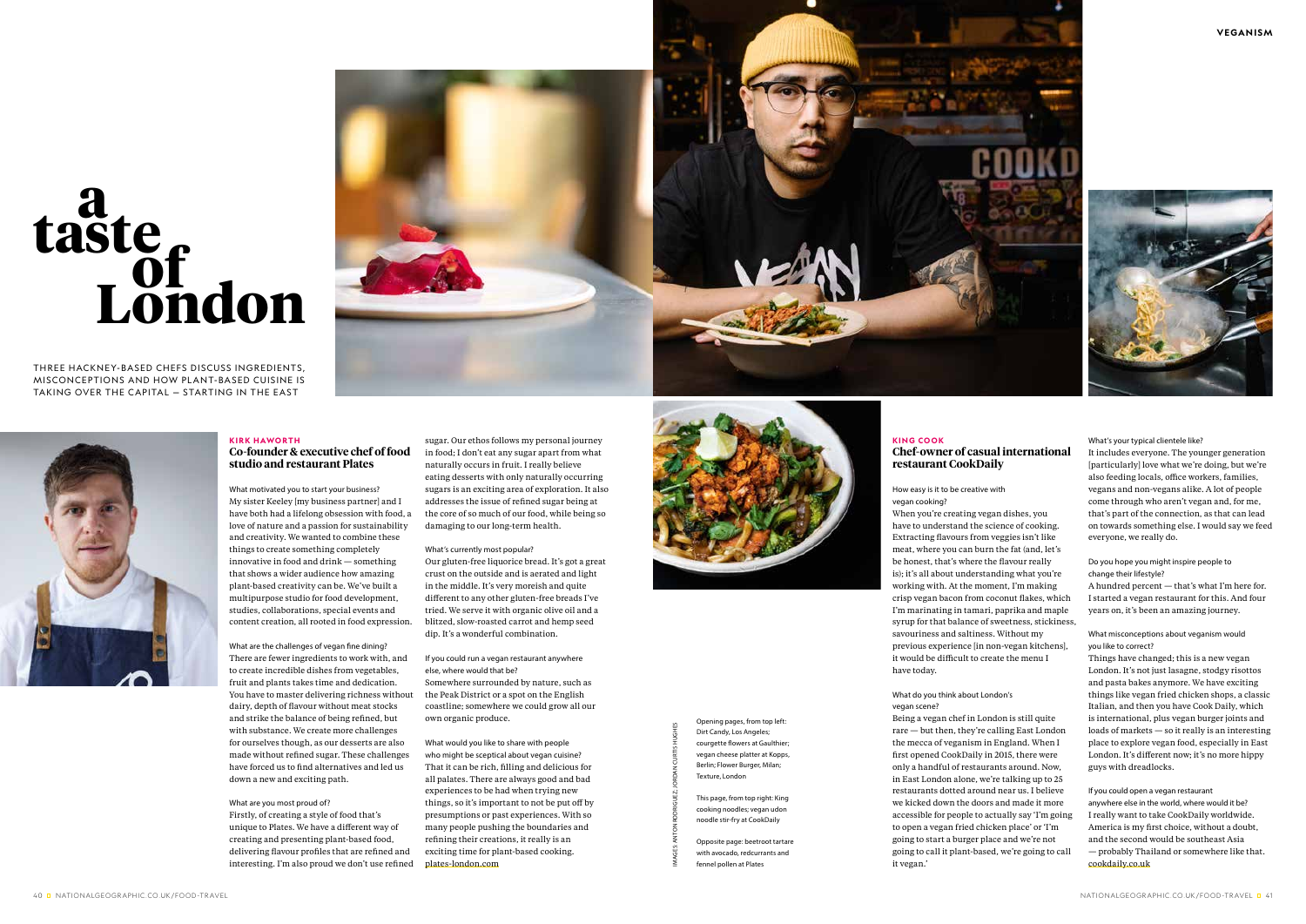THREE HACKNEY-BASED CHEFS DISCUSS INGREDIENTS, MISCONCEPTIONS AND HOW PLANT-BASED CUISINE IS TAKING OVER THE CAPITAL — STARTING IN THE EAST



#### **KIRK HAWORTH Co-founder & executive chef of food studio and restaurant Plates**

What motivated you to start your business? My sister Keeley [my business partner] and I have both had a lifelong obsession with food, a love of nature and a passion for sustainability and creativity. We wanted to combine these things to create something completely innovative in food and drink — something that shows a wider audience how amazing plant-based creativity can be. We've built a multipurpose studio for food development, studies, collaborations, special events and content creation, all rooted in food expression.

What are the challenges of vegan fine dining? There are fewer ingredients to work with, and to create incredible dishes from vegetables, fruit and plants takes time and dedication. You have to master delivering richness without dairy, depth of flavour without meat stocks and strike the balance of being refined, but with substance. We create more challenges for ourselves though, as our desserts are also made without refined sugar. These challenges have forced us to find alternatives and led us down a new and exciting path.

#### What are you most proud of?

Firstly, of creating a style of food that's unique to Plates. We have a different way of creating and presenting plant-based food, delivering flavour profiles that are refined and interesting. I'm also proud we don't use refined

# **a taste London of**

sugar. Our ethos follows my personal journey in food; I don't eat any sugar apart from what naturally occurs in fruit. I really believe eating desserts with only naturally occurring sugars is an exciting area of exploration. It also addresses the issue of refined sugar being at the core of so much of our food, while being so damaging to our long-term health.

What's currently most popular? Our gluten-free liquorice bread. It's got a great crust on the outside and is aerated and light in the middle. It's very moreish and quite different to any other gluten-free breads I've tried. We serve it with organic olive oil and a blitzed, slow-roasted carrot and hemp seed dip. It's a wonderful combination.

If you could run a vegan restaurant anywhere else, where would that be? Somewhere surrounded by nature, such as the Peak District or a spot on the English coastline; somewhere we could grow all our own organic produce.

What would you like to share with people who might be sceptical about vegan cuisine? That it can be rich, filling and delicious for all palates. There are always good and bad experiences to be had when trying new things, so it's important to not be put off by presumptions or past experiences. With so many people pushing the boundaries and refining their creations, it really is an exciting time for plant-based cooking. plates-london.com



Opening pages, from top left: Dirt Candy, Los Angeles; courgette flowers at Gaulthier; vegan cheese platter at Kopps, Berlin; Flower Burger, Milan; Texture, London

This page, from top right: King cooking noodles; vegan udon noodle stir-fry at CookDaily

Opposite page: beetroot tartare with avocado, redcurrants and fennel pollen at Plates

IMAGES: ANTON RODRIGUEZ; JORDAN CURTIS HUGHES

# **Chef-owner of casual international**

### **KING COOK restaurant CookDaily**

How easy is it to be creative with vegan cooking?

When you're creating vegan dishes, you have to understand the science of cooking. Extracting flavours from veggies isn't like meat, where you can burn the fat (and, let's be honest, that's where the flavour really is); it's all about understanding what you're working with. At the moment, I'm making crisp vegan bacon from coconut flakes, which I'm marinating in tamari, paprika and maple syrup for that balance of sweetness, stickiness, savouriness and saltiness. Without my previous experience [in non-vegan kitchens], it would be difficult to create the menu I have today.

#### What do you think about London's vegan scene?

Being a vegan chef in London is still quite rare — but then, they're calling East London the mecca of veganism in England. When I first opened CookDaily in 2015, there were only a handful of restaurants around. Now, in East London alone, we're talking up to 25 restaurants dotted around near us. I believe we kicked down the doors and made it more accessible for people to actually say 'I'm going to open a vegan fried chicken place' or 'I'm going to start a burger place and we're not going to call it plant-based, we're going to call it vegan.'

What's your typical clientele like?

It includes everyone. The younger generation [particularly] love what we're doing, but we're also feeding locals, office workers, families, vegans and non-vegans alike. A lot of people come through who aren't vegan and, for me, that's part of the connection, as that can lead on towards something else. I would say we feed everyone, we really do.

#### Do you hope you might inspire people to change their lifestyle?

A hundred percent — that's what I'm here for. I started a vegan restaurant for this. And four years on, it's been an amazing journey.

#### What misconceptions about veganism would you like to correct?

Things have changed; this is a new vegan London. It's not just lasagne, stodgy risottos and pasta bakes anymore. We have exciting things like vegan fried chicken shops, a classic Italian, and then you have Cook Daily, which is international, plus vegan burger joints and loads of markets — so it really is an interesting place to explore vegan food, especially in East London. It's different now; it's no more hippy guys with dreadlocks.

If you could open a vegan restaurant anywhere else in the world, where would it be? I really want to take CookDaily worldwide. America is my first choice, without a doubt, and the second would be southeast Asia — probably Thailand or somewhere like that. cookdaily.co.uk



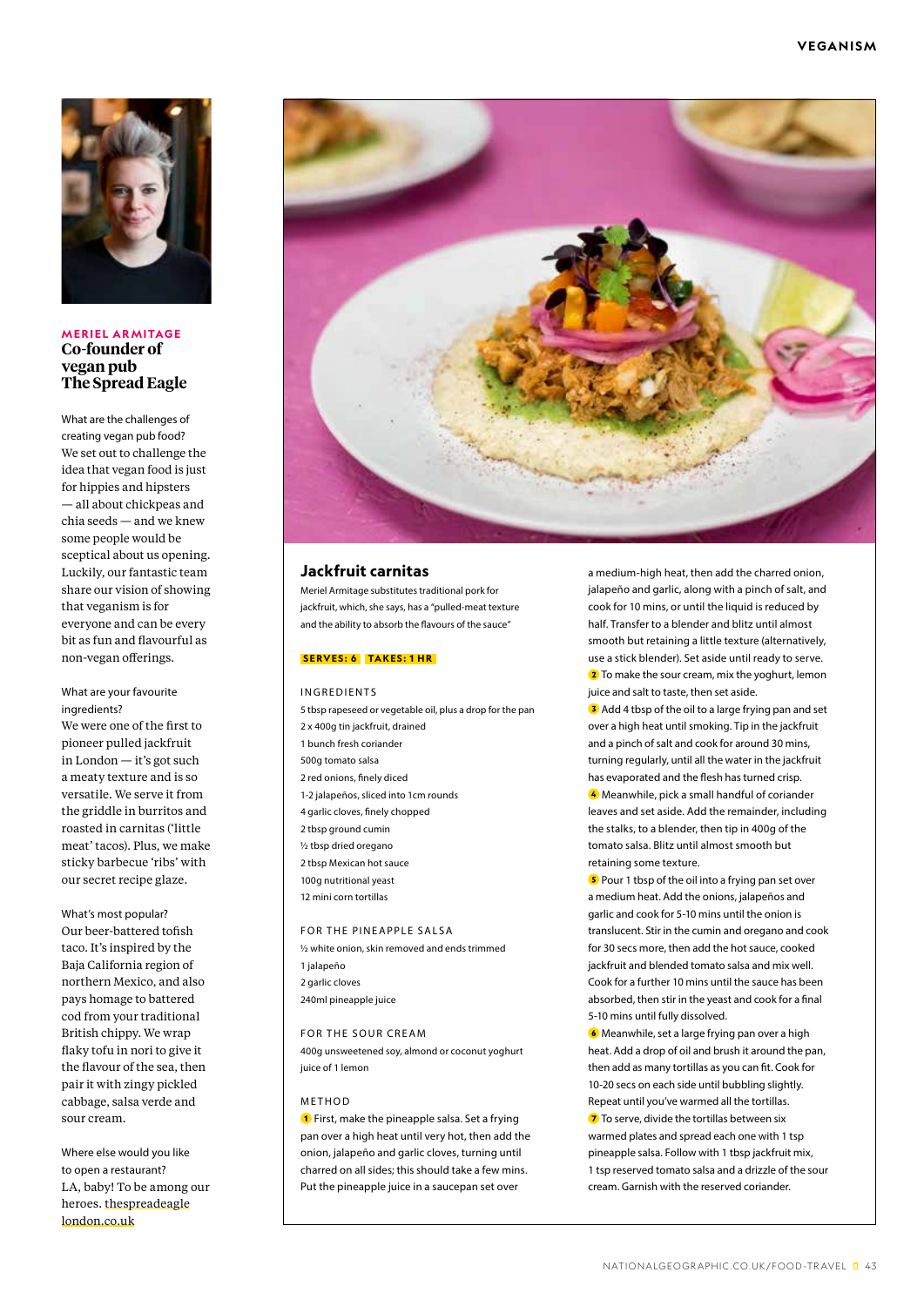

**MERIEL ARMITAGE Co-founder of vegan pub The Spread Eagle**

What are the challenges of creating vegan pub food? We set out to challenge the idea that vegan food is just for hippies and hipsters — all about chickpeas and chia seeds — and we knew some people would be sceptical about us opening. Luckily, our fantastic team share our vision of showing that veganism is for everyone and can be every bit as fun and flavourful as non-vegan offerings.

#### What are your favourite ingredients?

We were one of the first to pioneer pulled jackfruit in London — it's got such a meaty texture and is so versatile. We serve it from the griddle in burritos and roasted in carnitas ('little meat' tacos). Plus, we make sticky barbecue 'ribs' with our secret recipe glaze.

What's most popular? Our beer-battered tofish taco. It's inspired by the Baja California region of northern Mexico, and also pays homage to battered cod from your traditional British chippy. We wrap flaky tofu in nori to give it the flavour of the sea, then pair it with zingy pickled cabbage, salsa verde and sour cream.

Where else would you like to open a restaurant? LA, baby! To be among our heroes. thespreadeagle london.co.uk



#### **Jackfruit carnitas**

Meriel Armitage substitutes traditional pork for jackfruit, which, she says, has a "pulled-meat texture and the ability to absorb the flavours of the sauce"

#### **SERVES: 6 TAKES: 1 HR**

INGREDIENTS

5 tbsp rapeseed or vegetable oil, plus a drop for the pan 2 x 400g tin jackfruit, drained 1 bunch fresh coriander 500g tomato salsa 2 red onions, finely diced 1-2 jalapeños, sliced into 1cm rounds 4 garlic cloves, finely chopped 2 tbsp ground cumin ½ tbsp dried oregano 2 tbsp Mexican hot sauce 100g nutritional yeast 12 mini corn tortillas

FOR THE PINEAPPLE SALSA ½ white onion, skin removed and ends trimmed 1 jalapeño 2 garlic cloves 240ml pineapple juice

#### FOR THE SOUR CREAM

400g unsweetened soy, almond or coconut yoghurt juice of 1 lemon

#### METHOD

**1** First, make the pineapple salsa. Set a frying pan over a high heat until very hot, then add the onion, jalapeño and garlic cloves, turning until charred on all sides; this should take a few mins. Put the pineapple juice in a saucepan set over

a medium-high heat, then add the charred onion, jalapeño and garlic, along with a pinch of salt, and cook for 10 mins, or until the liquid is reduced by half. Transfer to a blender and blitz until almost smooth but retaining a little texture (alternatively, use a stick blender). Set aside until ready to serve. <sup>2</sup> To make the sour cream, mix the yoghurt, lemon juice and salt to taste, then set aside.

**3** Add 4 tbsp of the oil to a large frying pan and set over a high heat until smoking. Tip in the jackfruit and a pinch of salt and cook for around 30 mins, turning regularly, until all the water in the jackfruit has evaporated and the flesh has turned crisp.

4 Meanwhile, pick a small handful of coriander leaves and set aside. Add the remainder, including the stalks, to a blender, then tip in 400g of the tomato salsa. Blitz until almost smooth but retaining some texture.

**5** Pour 1 tbsp of the oil into a frying pan set over a medium heat. Add the onions, jalapeños and garlic and cook for 5-10 mins until the onion is translucent. Stir in the cumin and oregano and cook for 30 secs more, then add the hot sauce, cooked jackfruit and blended tomato salsa and mix well. Cook for a further 10 mins until the sauce has been absorbed, then stir in the yeast and cook for a final 5-10 mins until fully dissolved.

 Meanwhile, set a large frying pan over a high heat. Add a drop of oil and brush it around the pan, then add as many tortillas as you can fit. Cook for 10-20 secs on each side until bubbling slightly. Repeat until you've warmed all the tortillas. **7** To serve, divide the tortillas between six warmed plates and spread each one with 1 tsp pineapple salsa. Follow with 1 tbsp jackfruit mix, 1 tsp reserved tomato salsa and a drizzle of the sour cream. Garnish with the reserved coriander.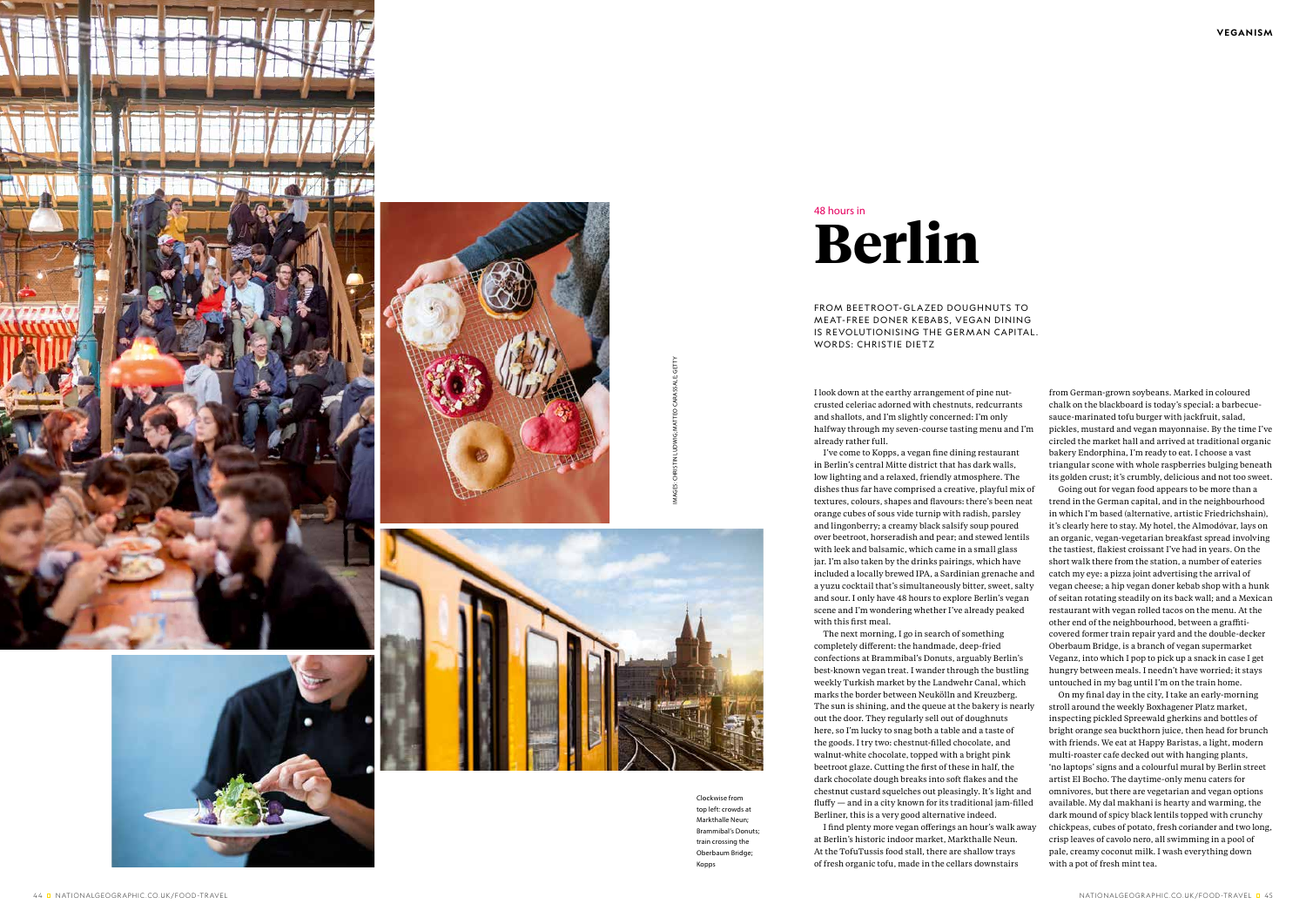FROM BEETROOT-GLAZED DOUGHNUTS TO MEAT-FREE DONER KEBABS, VEGAN DINING IS REVOLUTIONISING THE GERMAN CAPITAL. WORDS: CHRISTIE DIETZ

I look down at the earthy arrangement of pine nutcrusted celeriac adorned with chestnuts, redcurrants and shallots, and I'm slightly concerned: I'm only halfway through my seven-course tasting menu and I'm already rather full.

I've come to Kopps, a vegan fine dining restaurant in Berlin's central Mitte district that has dark walls, low lighting and a relaxed, friendly atmosphere. The dishes thus far have comprised a creative, playful mix of textures, colours, shapes and flavours: there's been neat orange cubes of sous vide turnip with radish, parsley and lingonberry; a creamy black salsify soup poured over beetroot, horseradish and pear; and stewed lentils with leek and balsamic, which came in a small glass jar. I'm also taken by the drinks pairings, which have included a locally brewed IPA, a Sardinian grenache and a yuzu cocktail that's simultaneously bitter, sweet, salty and sour. I only have 48 hours to explore Berlin's vegan scene and I'm wondering whether I've already peaked with this first meal.

The next morning, I go in search of something completely different: the handmade, deep-fried confections at Brammibal's Donuts, arguably Berlin's best-known vegan treat. I wander through the bustling weekly Turkish market by the Landwehr Canal, which marks the border between Neukölln and Kreuzberg. The sun is shining, and the queue at the bakery is nearly out the door. They regularly sell out of doughnuts here, so I'm lucky to snag both a table and a taste of the goods. I try two: chestnut-filled chocolate, and walnut-white chocolate, topped with a bright pink beetroot glaze. Cutting the first of these in half, the dark chocolate dough breaks into soft flakes and the chestnut custard squelches out pleasingly. It's light and fluffy — and in a city known for its traditional jam-filled Berliner, this is a very good alternative indeed. I find plenty more vegan offerings an hour's walk away

at Berlin's historic indoor market, Markthalle Neun. At the TofuTussis food stall, there are shallow trays of fresh organic tofu, made in the cellars downstairs

from German-grown soybeans. Marked in coloured chalk on the blackboard is today's special: a barbecuesauce-marinated tofu burger with jackfruit, salad, pickles, mustard and vegan mayonnaise. By the time I've circled the market hall and arrived at traditional organic bakery Endorphina, I'm ready to eat. I choose a vast triangular scone with whole raspberries bulging beneath its golden crust; it's crumbly, delicious and not too sweet.

Going out for vegan food appears to be more than a trend in the German capital, and in the neighbourhood in which I'm based (alternative, artistic Friedrichshain), it's clearly here to stay. My hotel, the Almodóvar, lays on an organic, vegan-vegetarian breakfast spread involving the tastiest, flakiest croissant I've had in years. On the short walk there from the station, a number of eateries catch my eye: a pizza joint advertising the arrival of vegan cheese; a hip vegan doner kebab shop with a hunk of seitan rotating steadily on its back wall; and a Mexican restaurant with vegan rolled tacos on the menu. At the other end of the neighbourhood, between a graffiticovered former train repair yard and the double-decker Oberbaum Bridge, is a branch of vegan supermarket Veganz, into which I pop to pick up a snack in case I get hungry between meals. I needn't have worried; it stays untouched in my bag until I'm on the train home.

On my final day in the city, I take an early-morning stroll around the weekly Boxhagener Platz market, inspecting pickled Spreewald gherkins and bottles of bright orange sea buckthorn juice, then head for brunch with friends. We eat at Happy Baristas, a light, modern multi-roaster cafe decked out with hanging plants, 'no laptops' signs and a colourful mural by Berlin street artist El Bocho. The daytime-only menu caters for omnivores, but there are vegetarian and vegan options available. My dal makhani is hearty and warming, the dark mound of spicy black lentils topped with crunchy chickpeas, cubes of potato, fresh coriander and two long, crisp leaves of cavolo nero, all swimming in a pool of pale, creamy coconut milk. I wash everything down with a pot of fresh mint tea.

# **Berlin**  48 hours in









Clockwise from top left: crowds at Markthalle Neun; Brammibal's Donuts; train crossing the Oberbaum Bridge; Kopps

IMAGES: CHRISTIN LUDWIG; MATTEO CARASSALE; GETTY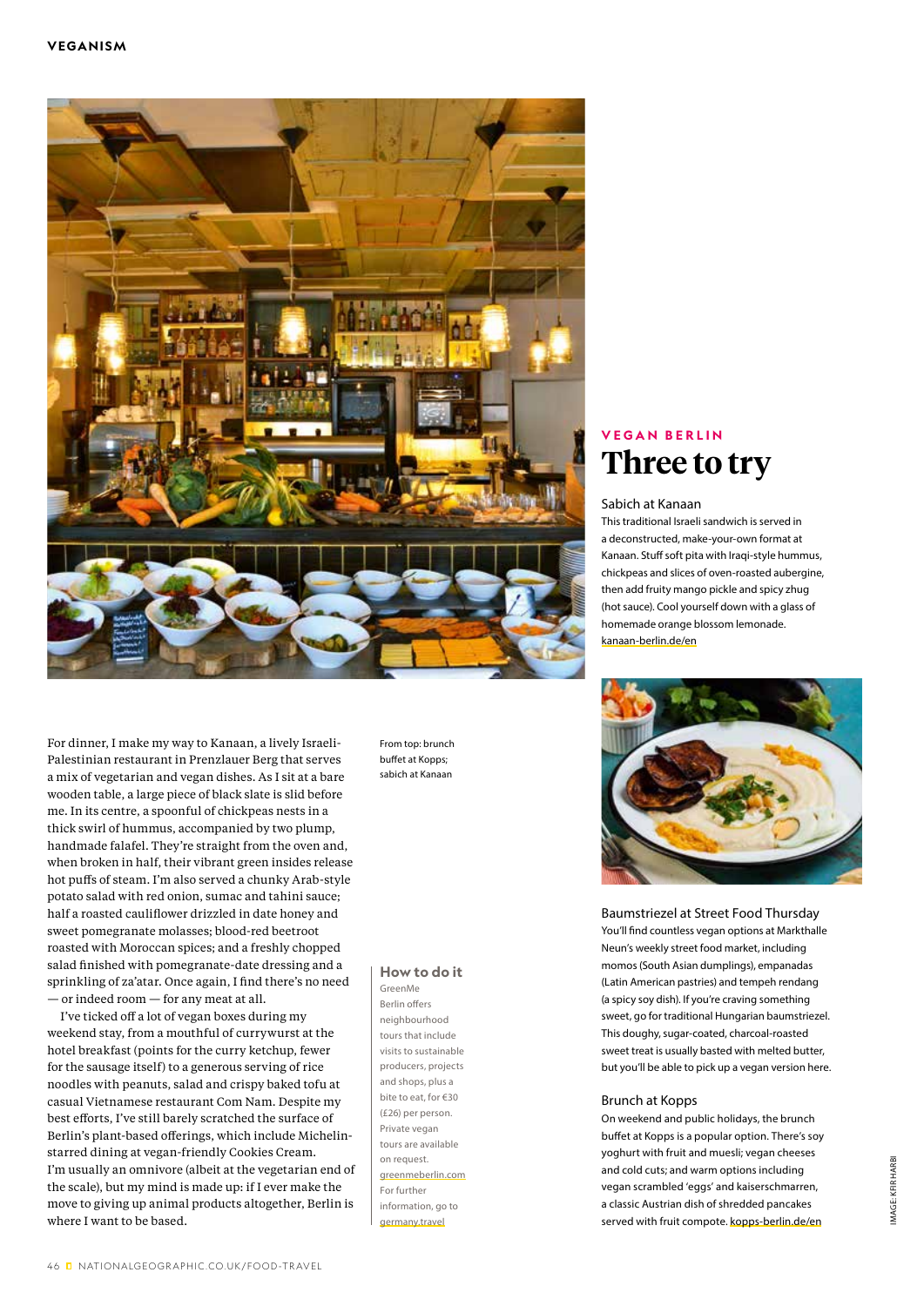

For dinner, I make my way to Kanaan, a lively Israeli-Palestinian restaurant in Prenzlauer Berg that serves a mix of vegetarian and vegan dishes. As I sit at a bare wooden table, a large piece of black slate is slid before me. In its centre, a spoonful of chickpeas nests in a thick swirl of hummus, accompanied by two plump, handmade falafel. They're straight from the oven and, when broken in half, their vibrant green insides release hot puffs of steam. I'm also served a chunky Arab-style potato salad with red onion, sumac and tahini sauce; half a roasted cauliflower drizzled in date honey and sweet pomegranate molasses; blood-red beetroot roasted with Moroccan spices; and a freshly chopped salad finished with pomegranate-date dressing and a sprinkling of za'atar. Once again, I find there's no need — or indeed room — for any meat at all.

I've ticked off a lot of vegan boxes during my weekend stay, from a mouthful of currywurst at the hotel breakfast (points for the curry ketchup, fewer for the sausage itself) to a generous serving of rice noodles with peanuts, salad and crispy baked tofu at casual Vietnamese restaurant Com Nam. Despite my best efforts, I've still barely scratched the surface of Berlin's plant-based offerings, which include Michelinstarred dining at vegan-friendly Cookies Cream. I'm usually an omnivore (albeit at the vegetarian end of the scale), but my mind is made up: if I ever make the move to giving up animal products altogether, Berlin is where I want to be based.

From top: brunch buffet at Kopps; sabich at Kanaan

#### **How to do it**

GreenMe Berlin offers neighbourhood tours that include visits to sustainable producers, projects and shops, plus a bite to eat, for €30 (£26) per person. Private vegan tours are available on request. greenmeberlin.com For further information, go to germany.travel

### **V E G A N B E R L I N Three to try**

#### Sabich at Kanaan

This traditional Israeli sandwich is served in a deconstructed, make-your-own format at Kanaan. Stuff soft pita with Iraqi-style hummus, chickpeas and slices of oven-roasted aubergine, then add fruity mango pickle and spicy zhug (hot sauce). Cool yourself down with a glass of homemade orange blossom lemonade. kanaan-berlin.de/en



Baumstriezel at Street Food Thursday You'll find countless vegan options at Markthalle Neun's weekly street food market, including momos (South Asian dumplings), empanadas (Latin American pastries) and tempeh rendang (a spicy soy dish). If you're craving something sweet, go for traditional Hungarian baumstriezel. This doughy, sugar-coated, charcoal-roasted sweet treat is usually basted with melted butter, but you'll be able to pick up a vegan version here.

#### Brunch at Kopps

On weekend and public holidays, the brunch buffet at Kopps is a popular option. There's soy yoghurt with fruit and muesli; vegan cheeses and cold cuts; and warm options including vegan scrambled 'eggs' and kaiserschmarren, a classic Austrian dish of shredded pancakes served with fruit compote. kopps-berlin.de/en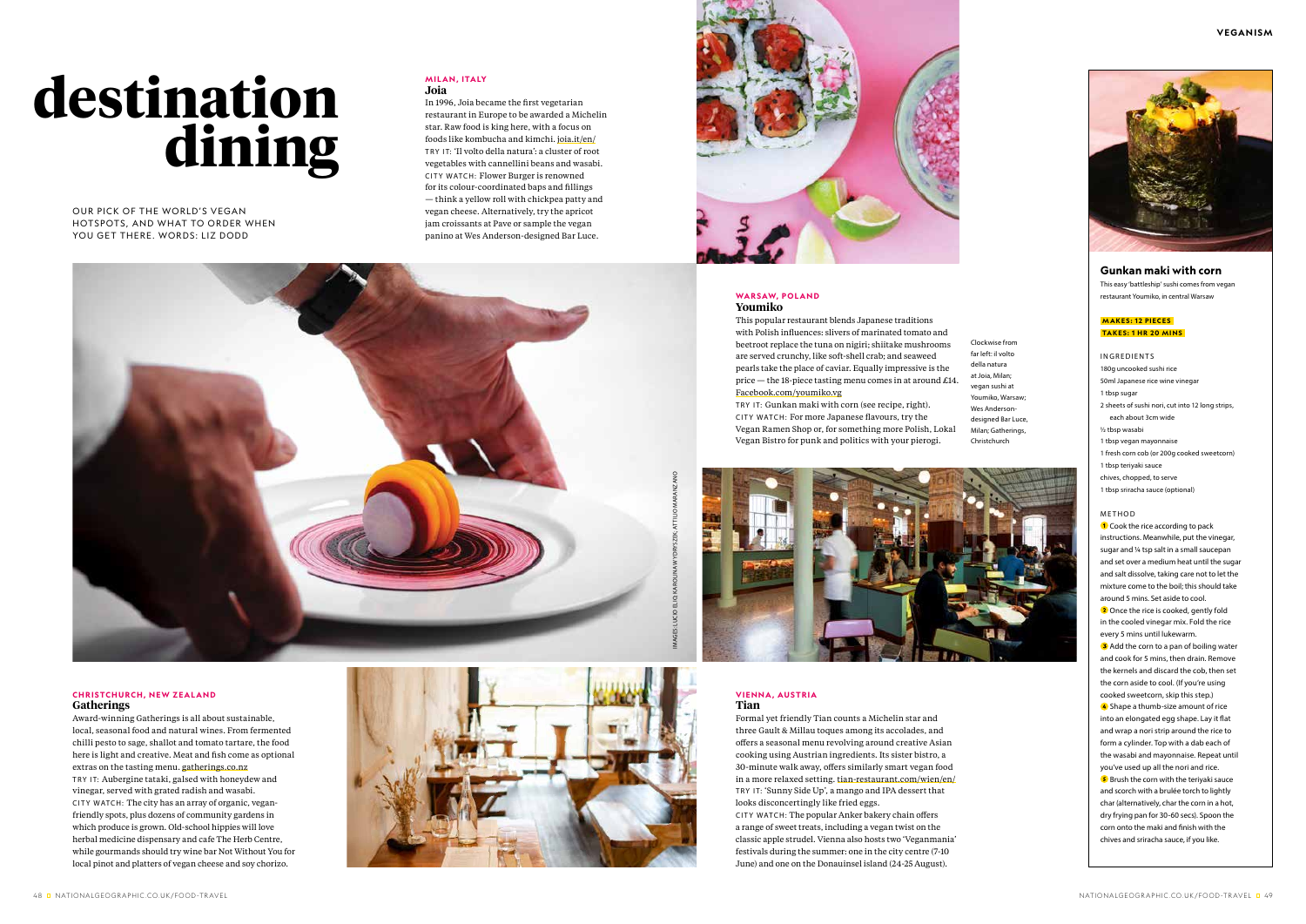OUR PICK OF THE WORLD'S VEGAN HOTSPOTS, AND WHAT TO ORDER WHEN YOU GET THERE. WORDS: LIZ DODD

> **VIENNA, AUSTRIA Tian**

Formal yet friendly Tian counts a Michelin star and three Gault & Millau toques among its accolades, and offers a seasonal menu revolving around creative Asian cooking using Austrian ingredients. Its sister bistro, a 30-minute walk away, offers similarly smart vegan food in a more relaxed setting. tian-restaurant.com/wien/en/ TRY IT: 'Sunny Side Up', a mango and IPA dessert that looks disconcertingly like fried eggs.

# **destination dining**

#### **MILAN, ITALY Joia**

CITY WATCH: The popular Anker bakery chain offers a range of sweet treats, including a vegan twist on the classic apple strudel. Vienna also hosts two 'Veganmania' festivals during the summer: one in the city centre (7-10 June) and one on the Donauinsel island (24-25 August).

In 1996, Joia became the first vegetarian restaurant in Europe to be awarded a Michelin star. Raw food is king here, with a focus on foods like kombucha and kimchi. joia.it/en/ TRY IT: 'Il volto della natura': a cluster of root vegetables with cannellini beans and wasabi. CITY WATCH: Flower Burger is renowned for its colour-coordinated baps and fillings — think a yellow roll with chickpea patty and vegan cheese. Alternatively, try the apricot jam croissants at Pave or sample the vegan panino at Wes Anderson-designed Bar Luce.



**3** Add the corn to a pan of boiling water and cook for 5 mins, then drain. Remove the kernels and discard the cob, then set the corn aside to cool. (If you're using cooked sweetcorn, skip this step.)

4 Shape a thumb-size amount of rice into an elongated egg shape. Lay it flat and wrap a nori strip around the rice to form a cylinder. Top with a dab each of the wasabi and mayonnaise. Repeat until you've used up all the nori and rice.

#### **Gunkan maki with corn**

This easy 'battleship' sushi comes from vegan restaurant Youmiko, in central Warsaw

#### **MAKES: 12 PIECES TAKES: 1 HR 20 MINS**

**5** Brush the corn with the teriyaki sauce and scorch with a brulée torch to lightly char (alternatively, char the corn in a hot, dry frying pan for 30-60 secs). Spoon the corn onto the maki and finish with the chives and sriracha sauce, if you like.

#### INGREDIENTS

180g uncooked sushi rice

- 50ml Japanese rice wine vinegar
- 1 tbsp sugar
- 2 sheets of sushi nori, cut into 12 long strips, each about 3cm wide
- ½ tbsp wasabi
- 1 tbsp vegan mayonnaise
- 1 fresh corn cob (or 200g cooked sweetcorn)
- 1 tbsp teriyaki sauce
- chives, chopped, to serve
- 1 tbsp sriracha sauce (optional)

#### **CHRISTCHURCH, NEW ZEALAND Gatherings**

#### METHOD

**1** Cook the rice according to pack instructions. Meanwhile, put the vinegar, sugar and ¼ tsp salt in a small saucepan and set over a medium heat until the sugar and salt dissolve, taking care not to let the mixture come to the boil; this should take around 5 mins. Set aside to cool. <sup>2</sup> Once the rice is cooked, gently fold

in the cooled vinegar mix. Fold the rice every 5 mins until lukewarm.

#### **WARSAW, POLAND Youmiko**

This popular restaurant blends Japanese traditions with Polish influences: slivers of marinated tomato and beetroot replace the tuna on nigiri; shiitake mushrooms are served crunchy, like soft-shell crab; and seaweed pearls take the place of caviar. Equally impressive is the price — the 18-piece tasting menu comes in at around £14. Facebook.com/youmiko.vg

TRY IT: Gunkan maki with corn (see recipe, right). CITY WATCH: For more Japanese flavours, try the Vegan Ramen Shop or, for something more Polish, Lokal Vegan Bistro for punk and politics with your pierogi.



Award-winning Gatherings is all about sustainable, local, seasonal food and natural wines. From fermented chilli pesto to sage, shallot and tomato tartare, the food here is light and creative. Meat and fish come as optional extras on the tasting menu. gatherings.co.nz TRY IT: Aubergine tataki, galsed with honeydew and vinegar, served with grated radish and wasabi. CITY WATCH: The city has an array of organic, veganfriendly spots, plus dozens of community gardens in which produce is grown. Old-school hippies will love herbal medicine dispensary and cafe The Herb Centre, while gourmands should try wine bar Not Without You for local pinot and platters of vegan cheese and soy chorizo.



Clockwise from far left: il volto della natura at Joia, Milan; vegan sushi at Youmiko, Warsaw; Wes Andersondesigned Bar Luce, Milan; Gatherings, Christchurch

IMAGES: LUCIO ELIO; KAROLINA WYDRYSZEK; ATTILIO MARANZANO